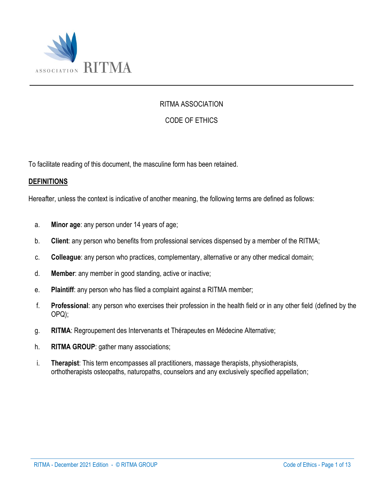

#### RITMA ASSOCIATION

## CODE OF ETHICS

To facilitate reading of this document, the masculine form has been retained.

#### **DEFINITIONS**

Hereafter, unless the context is indicative of another meaning, the following terms are defined as follows:

- a. **Minor age**: any person under 14 years of age;
- b. **Client**: any person who benefits from professional services dispensed by a member of the RITMA;
- c. **Colleague**: any person who practices, complementary, alternative or any other medical domain;
- d. **Member**: any member in good standing, active or inactive;
- e. **Plaintiff**: any person who has filed a complaint against a RITMA member;
- f. **Professional**: any person who exercises their profession in the health field or in any other field (defined by the OPQ);
- g. **RITMA**: Regroupement des Intervenants et Thérapeutes en Médecine Alternative;
- h. **RITMA GROUP**: gather many associations;
- i. **Therapist**: This term encompasses all practitioners, massage therapists, physiotherapists, orthotherapists osteopaths, naturopaths, counselors and any exclusively specified appellation;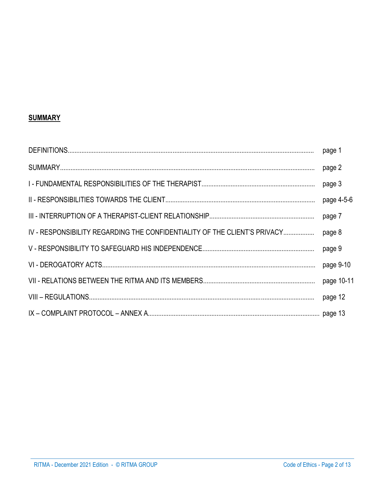## **SUMMARY**

|                                                                           | page 1     |
|---------------------------------------------------------------------------|------------|
|                                                                           | page 2     |
|                                                                           | page 3     |
|                                                                           | page 4-5-6 |
|                                                                           | page 7     |
| IV - RESPONSIBILITY REGARDING THE CONFIDENTIALITY OF THE CLIENT'S PRIVACY | page 8     |
|                                                                           | page 9     |
|                                                                           | page 9-10  |
|                                                                           | page 10-11 |
|                                                                           | page 12    |
|                                                                           |            |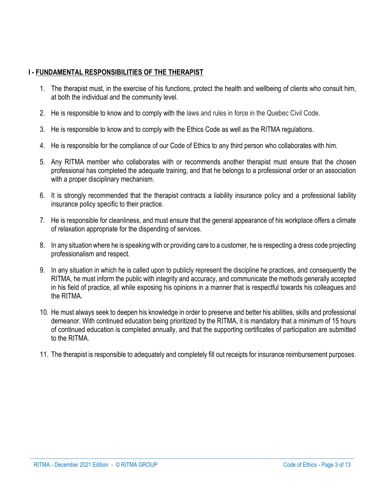## **I - FUNDAMENTAL RESPONSIBILITIES OF THE THERAPIST**

- 1. The therapist must, in the exercise of his functions, protect the health and wellbeing of clients who consult him, at both the individual and the community level.
- 2. He is responsible to know and to comply with the laws and rules in force in the Quebec Civil Code.
- 3. He is responsible to know and to comply with the Ethics Code as well as the RITMA regulations.
- 4. He is responsible for the compliance of our Code of Ethics to any third person who collaborates with him.
- 5. Any RITMA member who collaborates with or recommends another therapist must ensure that the chosen professional has completed the adequate training, and that he belongs to a professional order or an association with a proper disciplinary mechanism.
- 6. It is strongly recommended that the therapist contracts a liability insurance policy and a professional liability insurance policy specific to their practice.
- 7. He is responsible for cleanliness, and must ensure that the general appearance of his workplace offers a climate of relaxation appropriate for the dispending of services.
- 8. In any situation where he is speaking with or providing care to a customer, he is respecting a dress code projecting professionalism and respect.
- 9. In any situation in which he is called upon to publicly represent the discipline he practices, and consequently the RITMA, he must inform the public with integrity and accuracy, and communicate the methods generally accepted in his field of practice, all while exposing his opinions in a manner that is respectful towards his colleagues and the RITMA.
- 10. He must always seek to deepen his knowledge in order to preserve and better his abilities, skills and professional demeanor. With continued education being prioritized by the RITMA, it is mandatory that a minimum of 15 hours of continued education is completed annually, and that the supporting certificates of participation are submitted to the RITMA.
- 11. The therapist is responsible to adequately and completely fill out receipts for insurance reimbursement purposes.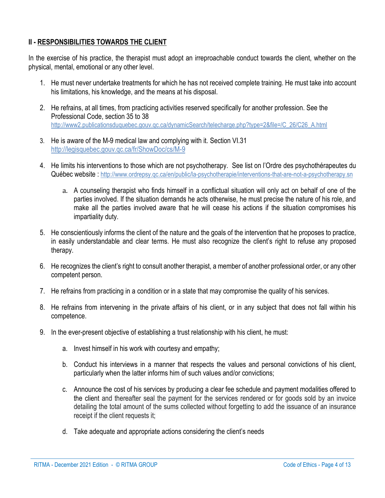#### **II - RESPONSIBILITIES TOWARDS THE CLIENT**

In the exercise of his practice, the therapist must adopt an irreproachable conduct towards the client, whether on the physical, mental, emotional or any other level.

- 1. He must never undertake treatments for which he has not received complete training. He must take into account his limitations, his knowledge, and the means at his disposal.
- 2. He refrains, at all times, from practicing activities reserved specifically for another profession. See the Professional Code, section 35 to 38 [http://www2.publicationsduquebec.gouv.qc.ca/dynamicSearch/telecharge.php?type=2&file=/C\\_26/C26\\_A.html](http://www2.publicationsduquebec.gouv.qc.ca/dynamicSearch/telecharge.php?type=2&file=/C_26/C26_A.html)
- 3. He is aware of the M-9 medical law and complying with it. Section VI.31 <http://legisquebec.gouv.qc.ca/fr/ShowDoc/cs/M-9>
- 4. He limits his interventions to those which are not psychotherapy. See list on l'Ordre des psychothérapeutes du Québec website : <http://www.ordrepsy.qc.ca/en/public/la-psychotherapie/interventions-that-are-not-a-psychotherapy.sn>
	- a. A counseling therapist who finds himself in a conflictual situation will only act on behalf of one of the parties involved. If the situation demands he acts otherwise, he must precise the nature of his role, and make all the parties involved aware that he will cease his actions if the situation compromises his impartiality duty.
- 5. He conscientiously informs the client of the nature and the goals of the intervention that he proposes to practice, in easily understandable and clear terms. He must also recognize the client's right to refuse any proposed therapy.
- 6. He recognizes the client's right to consult another therapist, a member of another professional order, or any other competent person.
- 7. He refrains from practicing in a condition or in a state that may compromise the quality of his services.
- 8. He refrains from intervening in the private affairs of his client, or in any subject that does not fall within his competence.
- 9. In the ever-present objective of establishing a trust relationship with his client, he must:
	- a. Invest himself in his work with courtesy and empathy;
	- b. Conduct his interviews in a manner that respects the values and personal convictions of his client, particularly when the latter informs him of such values and/or convictions;
	- c. Announce the cost of his services by producing a clear fee schedule and payment modalities offered to the client and thereafter seal the payment for the services rendered or for goods sold by an invoice detailing the total amount of the sums collected without forgetting to add the issuance of an insurance receipt if the client requests it;
	- d. Take adequate and appropriate actions considering the client's needs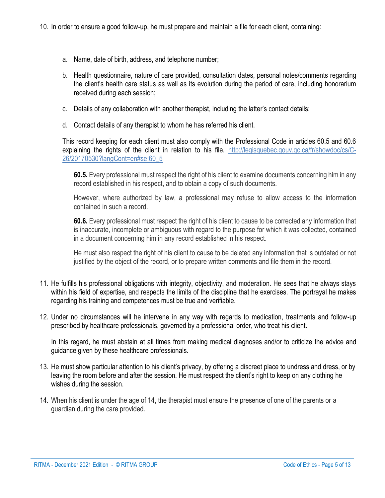- a. Name, date of birth, address, and telephone number;
- b. Health questionnaire, nature of care provided, consultation dates, personal notes/comments regarding the client's health care status as well as its evolution during the period of care, including honorarium received during each session;
- c. Details of any collaboration with another therapist, including the latter's contact details;
- d. Contact details of any therapist to whom he has referred his client.

This record keeping for each client must also comply with the Professional Code in articles 60.5 and 60.6 explaining the rights of the client in relation to his file. [http://legisquebec.gouv.qc.ca/fr/showdoc/cs/C-](http://legisquebec.gouv.qc.ca/fr/showdoc/cs/C-26/20170530?langCont=en#se:60_5)[26/20170530?langCont=en#se:60\\_5](http://legisquebec.gouv.qc.ca/fr/showdoc/cs/C-26/20170530?langCont=en#se:60_5)

**[60.5.](javascript:displayOtherLang(%22se:60_5%22);)** Every professional must respect the right of his client to examine documents concerning him in any record established in his respect, and to obtain a copy of such documents.

However, where authorized by law, a professional may refuse to allow access to the information contained in such a record.

**[60.6.](javascript:displayOtherLang(%22se:60_6%22);)** Every professional must respect the right of his client to cause to be corrected any information that is inaccurate, incomplete or ambiguous with regard to the purpose for which it was collected, contained in a document concerning him in any record established in his respect.

He must also respect the right of his client to cause to be deleted any information that is outdated or not justified by the object of the record, or to prepare written comments and file them in the record.

- 11. He fulfills his professional obligations with integrity, objectivity, and moderation. He sees that he always stays within his field of expertise, and respects the limits of the discipline that he exercises. The portrayal he makes regarding his training and competences must be true and verifiable.
- 12. Under no circumstances will he intervene in any way with regards to medication, treatments and follow-up prescribed by healthcare professionals, governed by a professional order, who treat his client.

In this regard, he must abstain at all times from making medical diagnoses and/or to criticize the advice and guidance given by these healthcare professionals.

- 13. He must show particular attention to his client's privacy, by offering a discreet place to undress and dress, or by leaving the room before and after the session. He must respect the client's right to keep on any clothing he wishes during the session.
- 14. When his client is under the age of 14, the therapist must ensure the presence of one of the parents or a guardian during the care provided.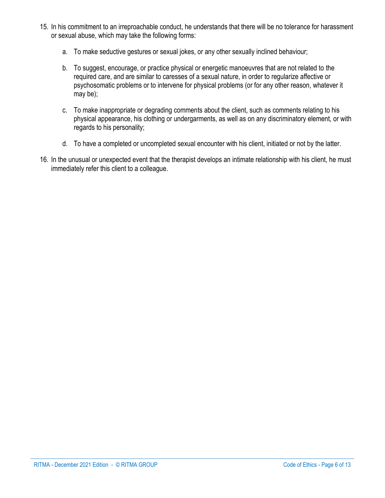- 15. In his commitment to an irreproachable conduct, he understands that there will be no tolerance for harassment or sexual abuse, which may take the following forms:
	- a. To make seductive gestures or sexual jokes, or any other sexually inclined behaviour;
	- b. To suggest, encourage, or practice physical or energetic manoeuvres that are not related to the required care, and are similar to caresses of a sexual nature, in order to regularize affective or psychosomatic problems or to intervene for physical problems (or for any other reason, whatever it may be);
	- c. To make inappropriate or degrading comments about the client, such as comments relating to his physical appearance, his clothing or undergarments, as well as on any discriminatory element, or with regards to his personality;
	- d. To have a completed or uncompleted sexual encounter with his client, initiated or not by the latter.
- 16. In the unusual or unexpected event that the therapist develops an intimate relationship with his client, he must immediately refer this client to a colleague.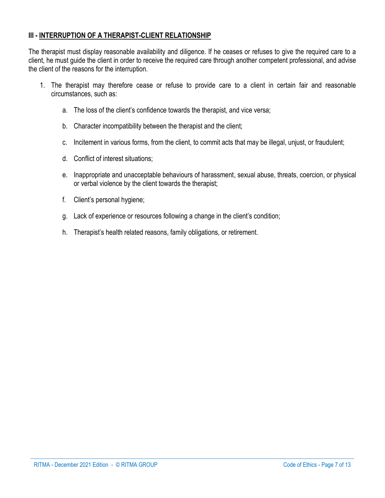#### **III - INTERRUPTION OF A THERAPIST-CLIENT RELATIONSHIP**

The therapist must display reasonable availability and diligence. If he ceases or refuses to give the required care to a client, he must guide the client in order to receive the required care through another competent professional, and advise the client of the reasons for the interruption.

- 1. The therapist may therefore cease or refuse to provide care to a client in certain fair and reasonable circumstances, such as:
	- a. The loss of the client's confidence towards the therapist, and vice versa;
	- b. Character incompatibility between the therapist and the client;
	- c. Incitement in various forms, from the client, to commit acts that may be illegal, unjust, or fraudulent;
	- d. Conflict of interest situations;
	- e. Inappropriate and unacceptable behaviours of harassment, sexual abuse, threats, coercion, or physical or verbal violence by the client towards the therapist;
	- f. Client's personal hygiene;
	- g. Lack of experience or resources following a change in the client's condition;
	- h. Therapist's health related reasons, family obligations, or retirement.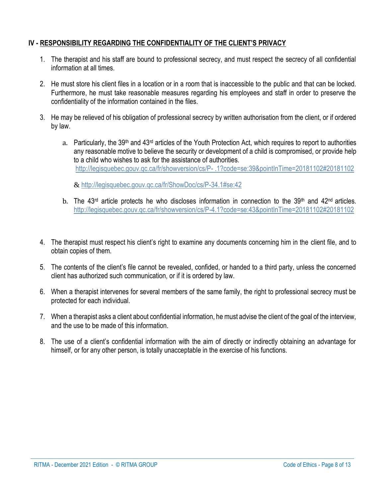## **IV - RESPONSIBILITY REGARDING THE CONFIDENTIALITY OF THE CLIENT'S PRIVACY**

- 1. The therapist and his staff are bound to professional secrecy, and must respect the secrecy of all confidential information at all times.
- 2. He must store his client files in a location or in a room that is inaccessible to the public and that can be locked. Furthermore, he must take reasonable measures regarding his employees and staff in order to preserve the confidentiality of the information contained in the files.
- 3. He may be relieved of his obligation of professional secrecy by written authorisation from the client, or if ordered by law.
	- a. Particularly, the 39<sup>th</sup> and 43<sup>rd</sup> articles of the Youth Protection Act, which requires to report to authorities any reasonable motive to believe the security or development of a child is compromised, or provide help to a child who wishes to ask for the assistance of authorities. http://legisquebec.gouv.qc.ca/fr/showversion/cs/P- [.1?code=se:39&pointInTime=20181102#20181102](http://legisquebec.gouv.qc.ca/fr/showversion/cs/P-%20.1?code=se:39&pointInTime=20181102#20181102)

& <http://legisquebec.gouv.qc.ca/fr/ShowDoc/cs/P-34.1#se:42>

- b. The 43<sup>rd</sup> article protects he who discloses information in connection to the 39<sup>th</sup> and 42<sup>nd</sup> articles. <http://legisquebec.gouv.qc.ca/fr/showversion/cs/P-4.1?code=se:43&pointInTime=20181102#20181102>
- 4. The therapist must respect his client's right to examine any documents concerning him in the client file, and to obtain copies of them.
- 5. The contents of the client's file cannot be revealed, confided, or handed to a third party, unless the concerned client has authorized such communication, or if it is ordered by law.
- 6. When a therapist intervenes for several members of the same family, the right to professional secrecy must be protected for each individual.
- 7. When a therapist asks a client about confidential information, he must advise the client of the goal of the interview, and the use to be made of this information.
- 8. The use of a client's confidential information with the aim of directly or indirectly obtaining an advantage for himself, or for any other person, is totally unacceptable in the exercise of his functions.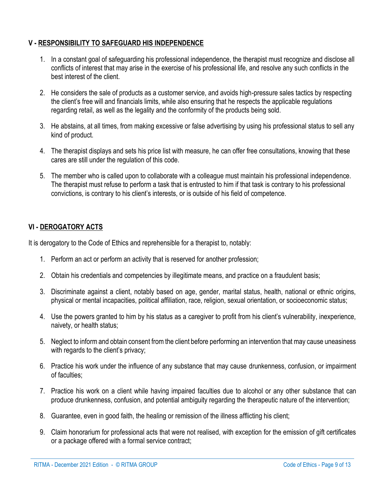#### **V - RESPONSIBILITY TO SAFEGUARD HIS INDEPENDENCE**

- 1. In a constant goal of safeguarding his professional independence, the therapist must recognize and disclose all conflicts of interest that may arise in the exercise of his professional life, and resolve any such conflicts in the best interest of the client.
- 2. He considers the sale of products as a customer service, and avoids high-pressure sales tactics by respecting the client's free will and financials limits, while also ensuring that he respects the applicable regulations regarding retail, as well as the legality and the conformity of the products being sold.
- 3. He abstains, at all times, from making excessive or false advertising by using his professional status to sell any kind of product.
- 4. The therapist displays and sets his price list with measure, he can offer free consultations, knowing that these cares are still under the regulation of this code.
- 5. The member who is called upon to collaborate with a colleague must maintain his professional independence. The therapist must refuse to perform a task that is entrusted to him if that task is contrary to his professional convictions, is contrary to his client's interests, or is outside of his field of competence.

## **VI - DEROGATORY ACTS**

It is derogatory to the Code of Ethics and reprehensible for a therapist to, notably:

- 1. Perform an act or perform an activity that is reserved for another profession;
- 2. Obtain his credentials and competencies by illegitimate means, and practice on a fraudulent basis;
- 3. Discriminate against a client, notably based on age, gender, marital status, health, national or ethnic origins, physical or mental incapacities, political affiliation, race, religion, sexual orientation, or socioeconomic status;
- 4. Use the powers granted to him by his status as a caregiver to profit from his client's vulnerability, inexperience, naivety, or health status;
- 5. Neglect to inform and obtain consent from the client before performing an intervention that may cause uneasiness with regards to the client's privacy:
- 6. Practice his work under the influence of any substance that may cause drunkenness, confusion, or impairment of faculties:
- 7. Practice his work on a client while having impaired faculties due to alcohol or any other substance that can produce drunkenness, confusion, and potential ambiguity regarding the therapeutic nature of the intervention;
- 8. Guarantee, even in good faith, the healing or remission of the illness afflicting his client;
- 9. Claim honorarium for professional acts that were not realised, with exception for the emission of gift certificates or a package offered with a formal service contract;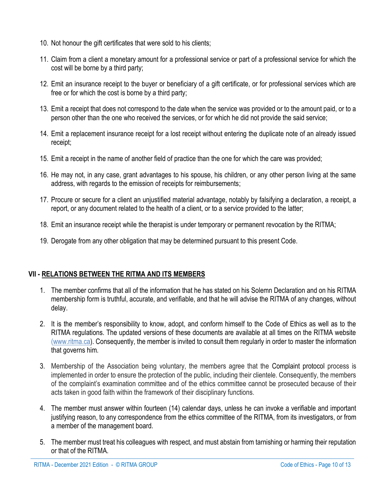- 10. Not honour the gift certificates that were sold to his clients;
- 11. Claim from a client a monetary amount for a professional service or part of a professional service for which the cost will be borne by a third party;
- 12. Emit an insurance receipt to the buyer or beneficiary of a gift certificate, or for professional services which are free or for which the cost is borne by a third party;
- 13. Emit a receipt that does not correspond to the date when the service was provided or to the amount paid, or to a person other than the one who received the services, or for which he did not provide the said service;
- 14. Emit a replacement insurance receipt for a lost receipt without entering the duplicate note of an already issued receipt;
- 15. Emit a receipt in the name of another field of practice than the one for which the care was provided;
- 16. He may not, in any case, grant advantages to his spouse, his children, or any other person living at the same address, with regards to the emission of receipts for reimbursements;
- 17. Procure or secure for a client an unjustified material advantage, notably by falsifying a declaration, a receipt, a report, or any document related to the health of a client, or to a service provided to the latter;
- 18. Emit an insurance receipt while the therapist is under temporary or permanent revocation by the RITMA;
- 19. Derogate from any other obligation that may be determined pursuant to this present Code.

#### **VII - RELATIONS BETWEEN THE RITMA AND ITS MEMBERS**

- 1. The member confirms that all of the information that he has stated on his Solemn Declaration and on his RITMA membership form is truthful, accurate, and verifiable, and that he will advise the RITMA of any changes, without delay.
- 2. It is the member's responsibility to know, adopt, and conform himself to the Code of Ethics as well as to the RITMA regulations. The updated versions of these documents are available at all times on the RITMA website [\(www.ritma.ca\)](http://www.ritma.ca/). Consequently, the member is invited to consult them regularly in order to master the information that governs him.
- 3. Membership of the Association being voluntary, the members agree that the Complaint protocol process is implemented in order to ensure the protection of the public, including their clientele. Consequently, the members of the complaint's examination committee and of the ethics committee cannot be prosecuted because of their acts taken in good faith within the framework of their disciplinary functions.
- 4. The member must answer within fourteen (14) calendar days, unless he can invoke a verifiable and important justifying reason, to any correspondence from the ethics committee of the RITMA, from its investigators, or from a member of the management board.
- 5. The member must treat his colleagues with respect, and must abstain from tarnishing or harming their reputation or that of the RITMA.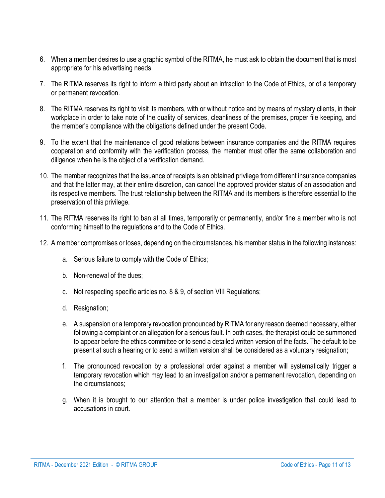- 6. When a member desires to use a graphic symbol of the RITMA, he must ask to obtain the document that is most appropriate for his advertising needs.
- 7. The RITMA reserves its right to inform a third party about an infraction to the Code of Ethics, or of a temporary or permanent revocation.
- 8. The RITMA reserves its right to visit its members, with or without notice and by means of mystery clients, in their workplace in order to take note of the quality of services, cleanliness of the premises, proper file keeping, and the member's compliance with the obligations defined under the present Code.
- 9. To the extent that the maintenance of good relations between insurance companies and the RITMA requires cooperation and conformity with the verification process, the member must offer the same collaboration and diligence when he is the object of a verification demand.
- 10. The member recognizes that the issuance of receipts is an obtained privilege from different insurance companies and that the latter may, at their entire discretion, can cancel the approved provider status of an association and its respective members. The trust relationship between the RITMA and its members is therefore essential to the preservation of this privilege.
- 11. The RITMA reserves its right to ban at all times, temporarily or permanently, and/or fine a member who is not conforming himself to the regulations and to the Code of Ethics.
- 12. A member compromises or loses, depending on the circumstances, his member status in the following instances:
	- a. Serious failure to comply with the Code of Ethics;
	- b. Non-renewal of the dues;
	- c. Not respecting specific articles no. 8 & 9, of section VIII Regulations;
	- d. Resignation;
	- e. A suspension or a temporary revocation pronounced by RITMA for any reason deemed necessary, either following a complaint or an allegation for a serious fault. In both cases, the therapist could be summoned to appear before the ethics committee or to send a detailed written version of the facts. The default to be present at such a hearing or to send a written version shall be considered as a voluntary resignation;
	- f. The pronounced revocation by a professional order against a member will systematically trigger a temporary revocation which may lead to an investigation and/or a permanent revocation, depending on the circumstances;
	- g. When it is brought to our attention that a member is under police investigation that could lead to accusations in court.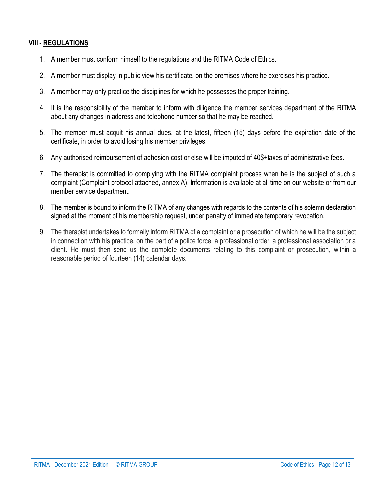## **VIII - REGULATIONS**

- 1. A member must conform himself to the regulations and the RITMA Code of Ethics.
- 2. A member must display in public view his certificate, on the premises where he exercises his practice.
- 3. A member may only practice the disciplines for which he possesses the proper training.
- 4. It is the responsibility of the member to inform with diligence the member services department of the RITMA about any changes in address and telephone number so that he may be reached.
- 5. The member must acquit his annual dues, at the latest, fifteen (15) days before the expiration date of the certificate, in order to avoid losing his member privileges.
- 6. Any authorised reimbursement of adhesion cost or else will be imputed of 40\$+taxes of administrative fees.
- 7. The therapist is committed to complying with the RITMA complaint process when he is the subject of such a complaint (Complaint protocol attached, annex A). Information is available at all time on our website or from our member service department.
- 8. The member is bound to inform the RITMA of any changes with regards to the contents of his solemn declaration signed at the moment of his membership request, under penalty of immediate temporary revocation.
- 9. The therapist undertakes to formally inform RITMA of a complaint or a prosecution of which he will be the subject in connection with his practice, on the part of a police force, a professional order, a professional association or a client. He must then send us the complete documents relating to this complaint or prosecution, within a reasonable period of fourteen (14) calendar days.